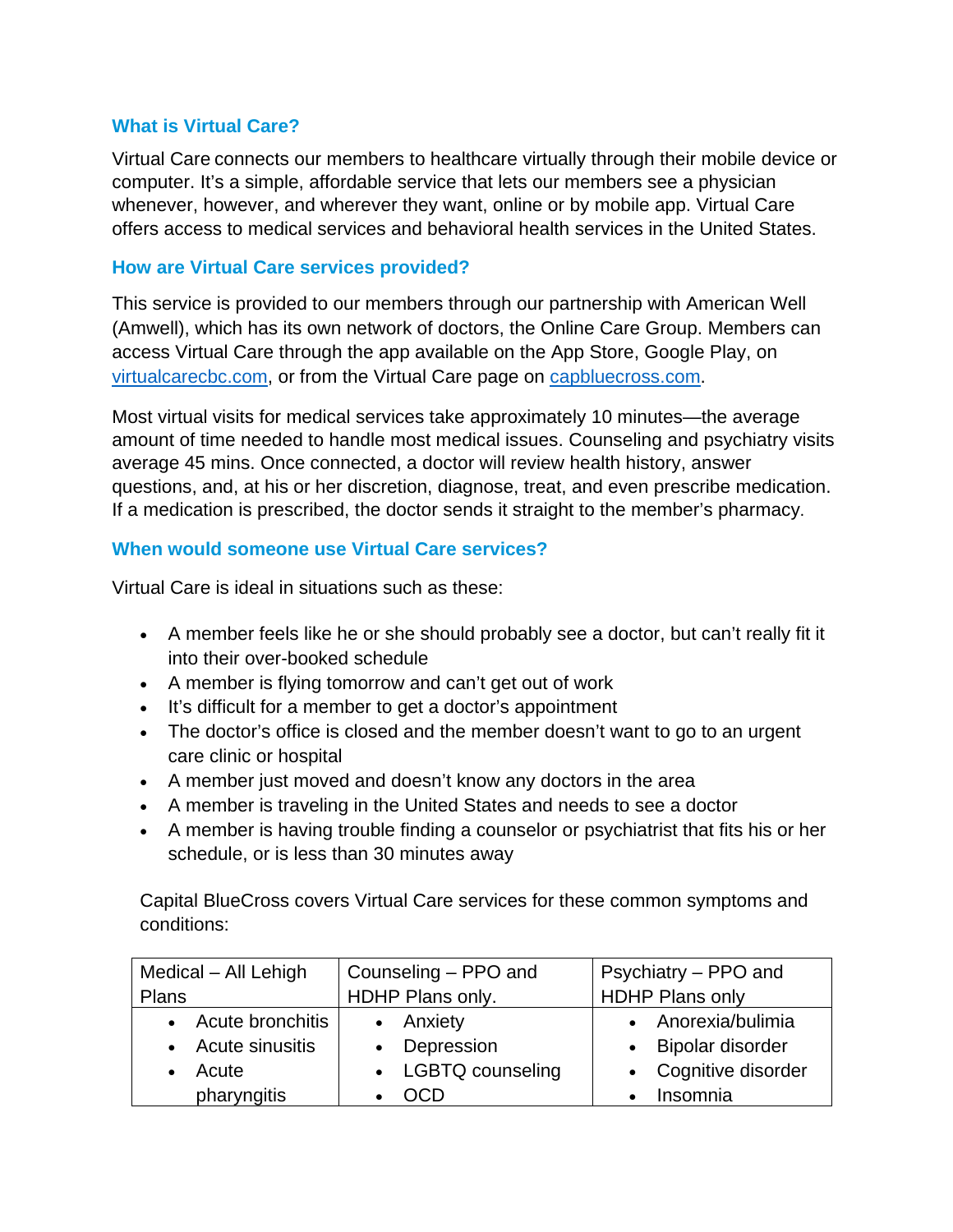## **What is Virtual Care?**

Virtual Care connects our members to healthcare virtually through their mobile device or computer. It's a simple, affordable service that lets our members see a physician whenever, however, and wherever they want, online or by mobile app. Virtual Care offers access to medical services and behavioral health services in the United States.

## **How are Virtual Care services provided?**

This service is provided to our members through our partnership with American Well (Amwell), which has its own network of doctors, the Online Care Group. Members can access Virtual Care through the app available on the App Store, Google Play, on [virtualcarecbc.com,](https://virtualcarecbc.com/landing.htm) or from the Virtual Care page on [capbluecross.com.](https://www.capbluecross.com/)

Most virtual visits for medical services take approximately 10 minutes—the average amount of time needed to handle most medical issues. Counseling and psychiatry visits average 45 mins. Once connected, a doctor will review health history, answer questions, and, at his or her discretion, diagnose, treat, and even prescribe medication. If a medication is prescribed, the doctor sends it straight to the member's pharmacy.

## **When would someone use Virtual Care services?**

Virtual Care is ideal in situations such as these:

- A member feels like he or she should probably see a doctor, but can't really fit it into their over-booked schedule
- A member is flying tomorrow and can't get out of work
- It's difficult for a member to get a doctor's appointment
- The doctor's office is closed and the member doesn't want to go to an urgent care clinic or hospital
- A member just moved and doesn't know any doctors in the area
- A member is traveling in the United States and needs to see a doctor
- A member is having trouble finding a counselor or psychiatrist that fits his or her schedule, or is less than 30 minutes away

Capital BlueCross covers Virtual Care services for these common symptoms and conditions:

| Medical - All Lehigh | Counseling – PPO and | Psychiatry – PPO and   |
|----------------------|----------------------|------------------------|
| <b>Plans</b>         | HDHP Plans only.     | <b>HDHP Plans only</b> |
| • Acute bronchitis   | • Anxiety            | • Anorexia/bulimia     |
| • Acute sinusitis    | • Depression         | • Bipolar disorder     |
| Acute                | • LGBTQ counseling   | • Cognitive disorder   |
| pharyngitis          | <b>OCD</b>           | Insomnia               |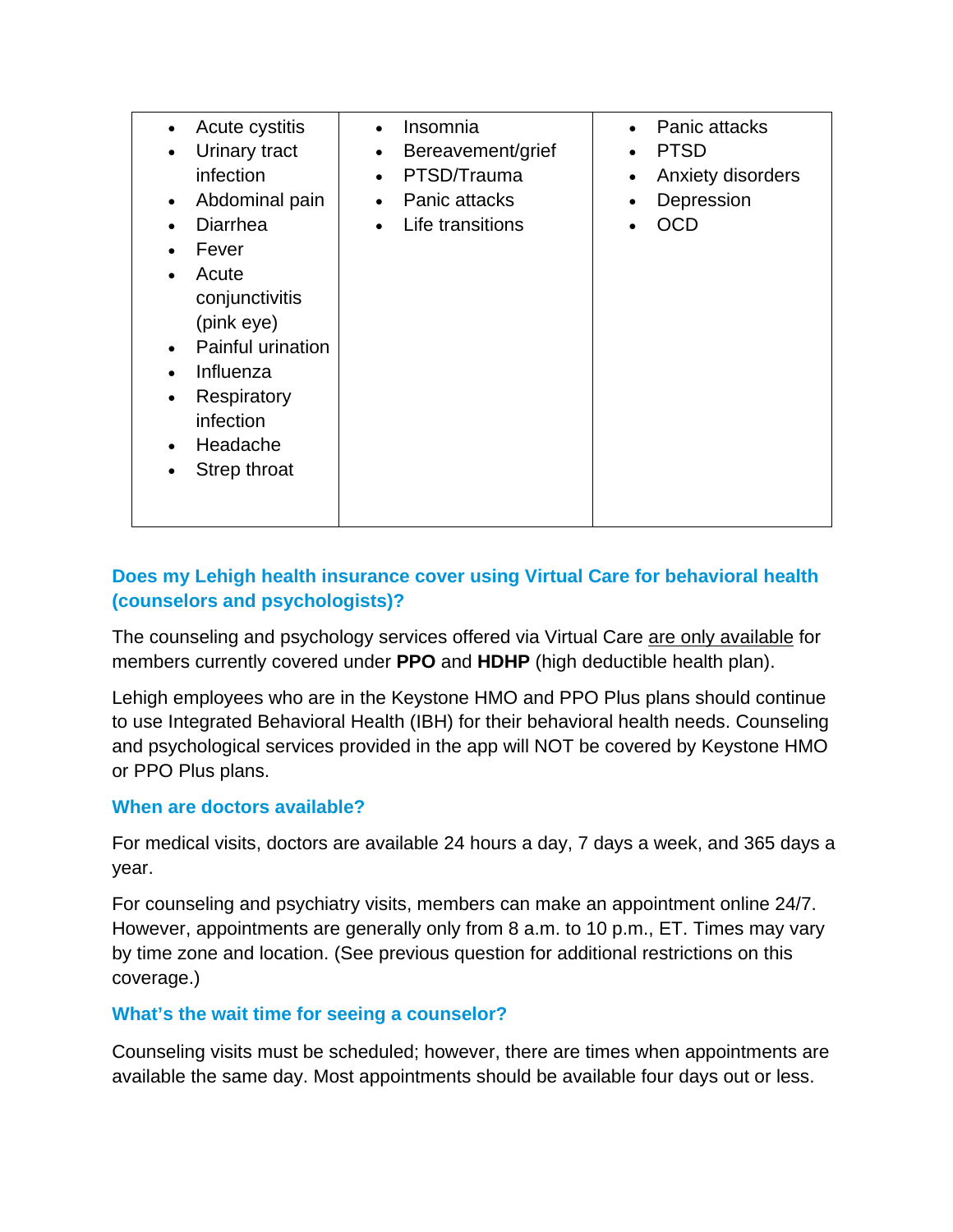| Acute cystitis<br>Urinary tract<br>$\bullet$<br>infection<br>Abdominal pain<br>$\bullet$<br>Diarrhea<br>Fever<br>Acute<br>conjunctivitis<br>(pink eye)<br>Painful urination<br>Influenza<br>Respiratory<br>infection<br>Headache<br>Strep throat | Insomnia<br>$\bullet$<br>Bereavement/grief<br>$\bullet$<br>PTSD/Trauma<br>$\bullet$<br>Panic attacks<br>$\bullet$<br>Life transitions<br>$\bullet$ | Panic attacks<br>$\bullet$<br><b>PTSD</b><br>$\bullet$<br>Anxiety disorders<br>$\bullet$<br>Depression<br>$\bullet$<br>OCD |
|--------------------------------------------------------------------------------------------------------------------------------------------------------------------------------------------------------------------------------------------------|----------------------------------------------------------------------------------------------------------------------------------------------------|----------------------------------------------------------------------------------------------------------------------------|
|--------------------------------------------------------------------------------------------------------------------------------------------------------------------------------------------------------------------------------------------------|----------------------------------------------------------------------------------------------------------------------------------------------------|----------------------------------------------------------------------------------------------------------------------------|

# **Does my Lehigh health insurance cover using Virtual Care for behavioral health (counselors and psychologists)?**

The counseling and psychology services offered via Virtual Care are only available for members currently covered under **PPO** and **HDHP** (high deductible health plan).

Lehigh employees who are in the Keystone HMO and PPO Plus plans should continue to use Integrated Behavioral Health (IBH) for their behavioral health needs. Counseling and psychological services provided in the app will NOT be covered by Keystone HMO or PPO Plus plans.

## **When are doctors available?**

For medical visits, doctors are available 24 hours a day, 7 days a week, and 365 days a year.

For counseling and psychiatry visits, members can make an appointment online 24/7. However, appointments are generally only from 8 a.m. to 10 p.m., ET. Times may vary by time zone and location. (See previous question for additional restrictions on this coverage.)

## **What's the wait time for seeing a counselor?**

Counseling visits must be scheduled; however, there are times when appointments are available the same day. Most appointments should be available four days out or less.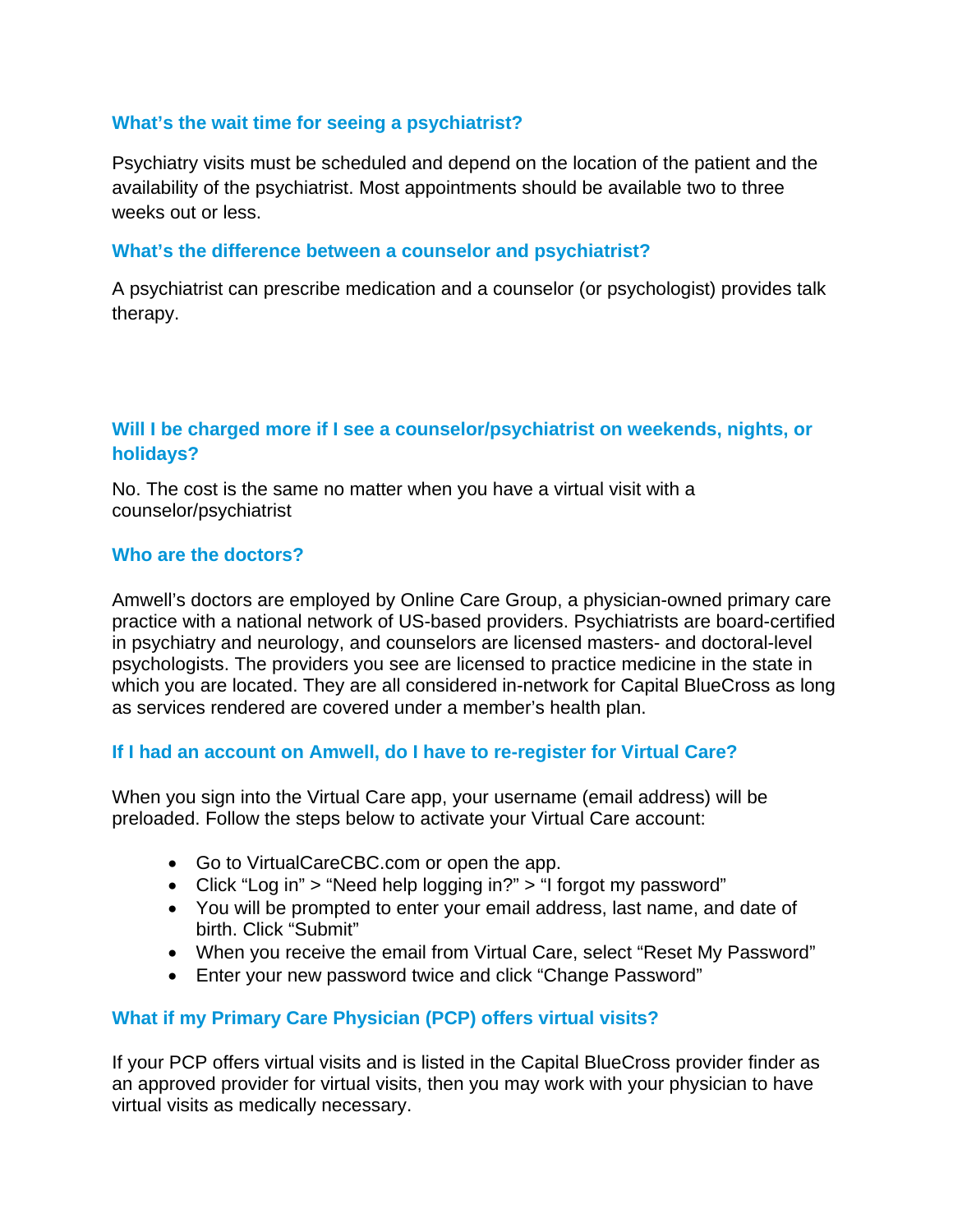## **What's the wait time for seeing a psychiatrist?**

Psychiatry visits must be scheduled and depend on the location of the patient and the availability of the psychiatrist. Most appointments should be available two to three weeks out or less.

#### **What's the difference between a counselor and psychiatrist?**

A psychiatrist can prescribe medication and a counselor (or psychologist) provides talk therapy.

# **Will I be charged more if I see a counselor/psychiatrist on weekends, nights, or holidays?**

No. The cost is the same no matter when you have a virtual visit with a counselor/psychiatrist

#### **Who are the doctors?**

Amwell's doctors are employed by Online Care Group, a physician-owned primary care practice with a national network of US-based providers. Psychiatrists are board-certified in psychiatry and neurology, and counselors are licensed masters- and doctoral-level psychologists. The providers you see are licensed to practice medicine in the state in which you are located. They are all considered in-network for Capital BlueCross as long as services rendered are covered under a member's health plan.

#### **If I had an account on Amwell, do I have to re-register for Virtual Care?**

When you sign into the Virtual Care app, your username (email address) will be preloaded. Follow the steps below to activate your Virtual Care account:

- Go to VirtualCareCBC.com or open the app.
- Click "Log in" > "Need help logging in?" > "I forgot my password"
- You will be prompted to enter your email address, last name, and date of birth. Click "Submit"
- When you receive the email from Virtual Care, select "Reset My Password"
- Enter your new password twice and click "Change Password"

## **What if my Primary Care Physician (PCP) offers virtual visits?**

If your PCP offers virtual visits and is listed in the Capital BlueCross provider finder as an approved provider for virtual visits, then you may work with your physician to have virtual visits as medically necessary.